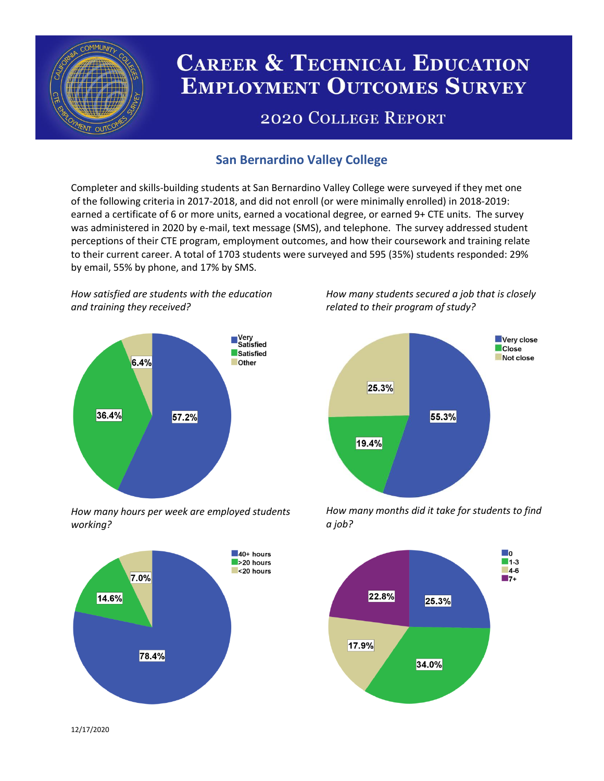

# **CAREER & TECHNICAL EDUCATION EMPLOYMENT OUTCOMES SURVEY**

## **2020 COLLEGE REPORT**

## **San Bernardino Valley College**

Completer and skills-building students at San Bernardino Valley College were surveyed if they met one of the following criteria in 2017-2018, and did not enroll (or were minimally enrolled) in 2018-2019: earned a certificate of 6 or more units, earned a vocational degree, or earned 9+ CTE units. The survey was administered in 2020 by e-mail, text message (SMS), and telephone. The survey addressed student perceptions of their CTE program, employment outcomes, and how their coursework and training relate to their current career. A total of 1703 students were surveyed and 595 (35%) students responded: 29% by email, 55% by phone, and 17% by SMS.

*How satisfied are students with the education and training they received?*



*How many hours per week are employed students working?*



*How many students secured a job that is closely related to their program of study?*



*How many months did it take for students to find a job?*



12/17/2020